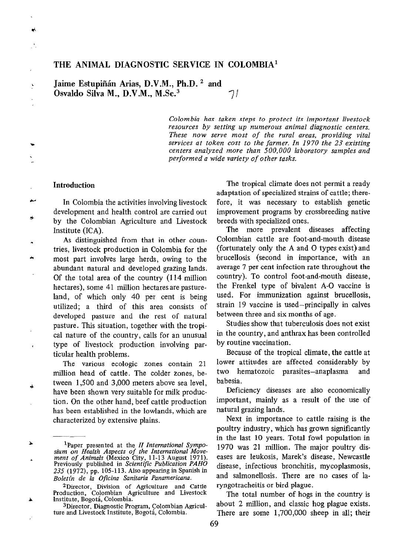# THE ANIMAL DIAGNOSTIC SERVICE IN COLOMBIA'

Jaime Estupiñán Arias, D.V.M., Ph.D.<sup>2</sup> and Osvaldo Silva M., D.V.M., M.Sc.<sup>3</sup>  $7i$ 

> Colombia has taken steps to protect its important livestock resources by setting up numerous animal diagnostic centers. These now serve most of the rural areas, providing vital services at token cost to the farmer. In 1970 the 23 existing centers analyzed more than 500,000 laboratory samples and performed a wide variety of other tasks.

### Introduction

یم

In Colombia the activities involving livestock development and health control are carried out by the Colombian Agriculture and Livestock Institute (ICA).

As distinguished from that in other countries, livestock production in Colombia for the most part involves large herds, owing to the abundant natural and developed grazing lands. Of the total area of the country (114 million hectares), some 41 million hectares are pastureland, of which only 40 per cent is being utilized; a third of this area consists of developed pasture and the rest of natural pasture. This situation, together with the tropical nature of the country, calls for an unusual type of livestock production involving particular health problems.

The various ecologic zones contain 21 million head of cattle. The colder zones, between 1,500 and 3,000 meters above sea level, have been shown very suitable for milk production. On the other hand, beef cattle production has been established in the lowlands, which are characterized by extensive plains.

\*Director, Division of Agriculture and Cattle Production, Colombian Agriculture and Livestock Institute, Bogotá, Colombia.

The tropical climate does not permit a ready adaptation of specialized strains of cattle; therefore, it was necessary to establish genetic improvement programs by crossbreeding native breeds with specialized ones.

The more prevalent diseases affecting Colombian cattle are foot-and-mouth disease (fortunately only the A and 0 types exist) and brucellosis (second in importance, with an average 7 per cent infection rate throughout the country). To control foot-and-mouth disease, the Frenkel type of bivalent A-O vaccine is used. For immunization against brucellosis, strain 19 vaccine is used-principally in calves between three and six months of age.

Studies show that tuberculosis does not exist in the country, and anthrax has been controlled by routine vaccination.

Because of the tropical climate, the cattle at lower attitudes are affected considerably by two hematozoic parasites-anaplasma and babesia.

Deficiency diseases are also economically important, mainly as a result of the use of natural grazing lands.

Next in importance to cattle raising is the poultry industry, which has grown significantly in the last 10 years. Total fowl population in 1970 was 21 million. The major poultry diseases are leukosis, Marek's disease, Newcastle disease, infectious bronchitis, mycoplasmosis, and salmonellosis. There are no cases of laryngotracheitis or bird plague.

The total number of hogs in the country is about 2 million, and classic hog plague exists. There are some 1,700,OOO sheep in all; their

<sup>&</sup>lt;sup>1</sup>Paper presented at the *II International Sympo-*<br>sium on Health Aspects of the International Move-<br>ment of Animals (Mexico City, 11-13 August 1971).<br>Previously published in Scientific Publication PAHO 235 (1972), pp. 105-113. Also appearing in Spanish in Boletín de la Oficina Sanitaria Panamericana.

SDirector, Diagnostic Program, Colombian Agriculture and Livestock Institute, Bogotá, Colombia.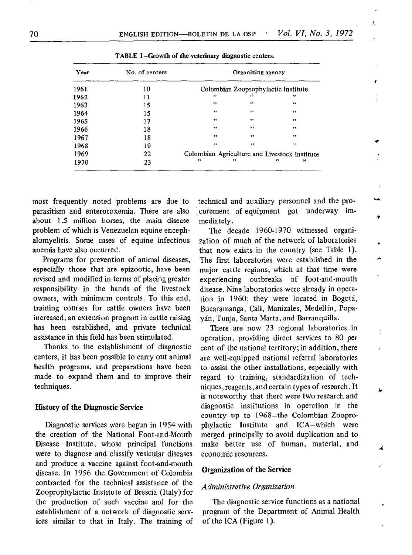| Year | No. of centers |                                               | Organizing agency |                                     |  |
|------|----------------|-----------------------------------------------|-------------------|-------------------------------------|--|
| 1961 | 10             |                                               |                   | Colombian Zooprophylactic Institute |  |
| 1962 | 11             | ,,                                            | ,,                | ,,                                  |  |
| 1963 | 15             | $^{\prime\prime}$                             | , ,               | ,                                   |  |
| 1964 | 15             | 22                                            | , 1               | ,                                   |  |
| 1965 | 17             | 11                                            | 99                | $\rightarrow$                       |  |
| 1966 | 18             | $\bullet$                                     | ,,                | ,,                                  |  |
| 1967 | 18             | $\overline{\mathbf{12}}$                      | $\rightarrow$     | $^{11}$                             |  |
| 1968 | 19             | , ,                                           | , ,               | $^{\circ}$                          |  |
| 1969 | 22             | Colombian Agriculture and Livestock Institute |                   |                                     |  |
| 1970 | 23             | , ,                                           | 53                | ,,<br>,,                            |  |

TABLE 1-Growth of the veterinary diagnostic centers.

parasitism and enterotoxemia. There are also curement of equipment got underway imabout 1.5 million horses, the main disease mediately. problem of which is Venezuelan equine encephalomyelitis. Some cases of equine infectious anemia have also occurred.

Programs for prevention of animal diseases, especially those that are epizootic, have been revised and modified in terms of placing greater responsibility in the hands of the livestock owners, with minimum controls. To this end, training courses for cattle owners have been increased, an extension program in cattle raising has been established, and private technical assistance in this field has been stimulated.

Thanks to the establishment of diagnostic centers, it has been possible to carry out animal health programs, and preparations have been made to expand them and to improve their techniques.

### History of the Diagnostic Service

Diagnostic services were begun in 1954 with the creation of the National Foot-and-Mouth Disease Institute, whose principal functions were to diagnose and classify vesicular diseases and produce a vaccine against foot-and-mouth disease. In 1956 the Government of Colombia contracted for the technical assistance of the Zooprophylactic Institute of Brescia (Italy) for the production of such vaccine and for the establishment of a network of diagnostic services similar to that in Italy. The training of

most frequently noted problems are due to technical and auxiliary personnel and the pro-

λ,

ł

Á6

Á.

The decade 1960-1970 witnessed organization of much of the network of laboratories that now exists in the country (see Table 1). The first laboratories were established in the major cattle regions, which at that time were experiencing outbreaks of foot-and-mouth disease. Nine laboratories were already in operation in 1960; they were located in Bogotá, Bucaramanga, Cali, Manizales, Medellín, Popaya'n, Tunja, Santa Marta, and Barranquilla.

There are now 23 regional laboratories in operation, providing direct services to 80 per cent of the national territory; in addition, there are well-equipped national referral laboratories to assist the other installations, especially with regard to training, standardization of techniques, reagents, and certain types of research. It is noteworthy that there were two research and diagnostic institutions in operation in the country up to 1968-the Colombian Zooprophylactic Institute and ICA-which were merged principally to avoid duplication and to make better use of human, material, and economic resources.

## Organization of the Service

### Administrative Organization

The diagnostic service functions as a national program of the Department of Animal Health of the ICA (Figure 1).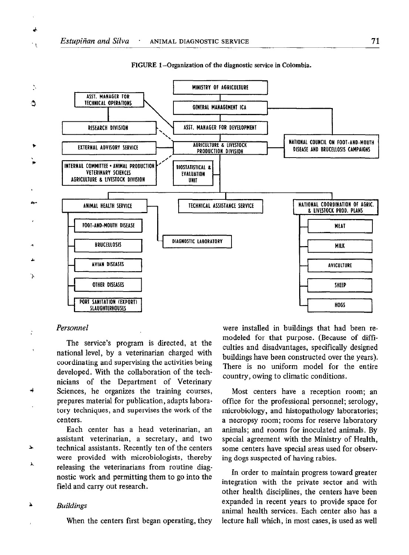

#### FIGURE 1 -Organization of the diagnostic service in Colombia.

### Personnel

۰,

The service's program is directed, at the national level, by a veterinarian charged with coordinating and supervising the activities being developed. With the collaboration of the technicians of the Department of Veterinary Sciences, he organizes the training courses, prepares material for publication, adapts laboratory techniques, and supervises the work of the centers.

Each center has a head veterinarian, an assistant veterinarian, a secretary, and two technical assistants. Recently ten of the centers were provided with microbiologists, thereby releasing the veterinarians from routine diagnostic work and permitting them to go into the field and carry out research.

### Buildings

 $\Delta$ 

When the centers first began operating, they

were installed in buildings that had been remodeled for that purpose. (Because of diffculties and disadvantages, specifically designed buildings have been constructed over the years). There is no uniform model for the entire country, owing to climatic conditions.

Most centers have a reception room; an office for the professional personnel; serology, microbiology, and histopathology laboratories; a necropsy room; rooms for reserve laboratory animals; and rooms for inoculated animals. By special agreement with the Ministry of Health, some centers have special areas used for observing dogs suspected of having rabies.

In order to maintain progress toward greater integration with the private sector and with other health disciplines, the centers have been expanded in recent years to provide space for animal health services. Each center also has a lecture hall which, in most cases, is used as well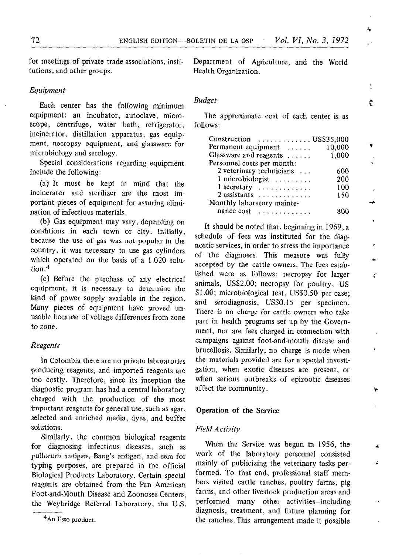for meetings of private trade associations, institutions, and other groups.

### Equipment

Each center has the following minimum equipment: an incubator, autoclave, microscope, centrifuge, water bath, refrigerator, incinerator, distillation apparatus, gas equipment, necropsy equipment, and glassware for microbiology and serology.

Special considerations regarding equipment include the following:

(a) It must be kept in mind that the incinerator and sterilizer are the most important pieces of equipment for assuring elimination of infectious materials.

(b) Gas equipment may vary, depending on conditions in each town or city. Initially, because the use of gas was not popular in the country, it was necessary to use gas cylinders which operated on the basis of a 1.020 solution.4

(c) Before the purchase of any electrical equipment, it is necessary to determine the kind of power supply available in the region. Many pieces of equipment have proved unusable because of voltage differences from zone to zone.

## Reagents

In Colombia there are no private laboratories producing reagents, and imported reagents are too costly. Therefore, since its inception the diagnostic program has had a central laboratory charged with the production of the most important reagents for general use, such as agar, selected and enriched media, dyes, and buffer solutions.

Similarly, the common biological reagents for diagnosing infectious diseases, such as pullorum antigen, Bang's antigen, and sera for typing purposes, are prepared in the official Biological Products Laboratory. Certain special reagents are obtained from the Pan American Foot-and-Mouth Disease and Zoonoses Centers, the Weybridge Referral Laboratory, the U.S. Department of Agriculture, and the World Health Organization.

### Budget

The approximate cost of each center is as follows:

| Permanent equipment $\dots$                   | 10.000 |  |  |  |  |  |
|-----------------------------------------------|--------|--|--|--|--|--|
| Glassware and reagents                        | 1,000  |  |  |  |  |  |
| Personnel costs per month:                    |        |  |  |  |  |  |
| 2 veterinary technicians                      | 600    |  |  |  |  |  |
| 1 microbiologist                              | 200    |  |  |  |  |  |
| $1 \text{ secretary} \dots \dots \dots \dots$ | 100    |  |  |  |  |  |
| $2$ assistants                                | 150    |  |  |  |  |  |
| Monthly laboratory mainte-                    |        |  |  |  |  |  |
|                                               |        |  |  |  |  |  |

It should be noted that, beginning in 1969, a schedule of fees was instituted for the diagnostic services, in order to stress the importance of the diagnoses. This measure was fully accepted by the cattle owners. The fees established were as follows: necropsy for larger animals, USS2.00; necropsy for poultry, US \$1 .OO; microbiological test, US\$O.50 per case; and serodiagnosis, US\$O.IS per specimen. There is no charge for cattle owners who take part in health programs set up by the Government, nor are fees charged in connection with campaigns against foot-and-mouth disease and brucellosis. Similarly, no charge is made when the materials provided are for a special investigation, when exotic diseases are present, or when serious outbreaks of epizootic diseases affect the community.

## Operation of the Service

### Field Activity

When the Service was begun in 1956, the work of the laboratory personnel consisted mainly of publicizing the veterinary tasks performed. To that end, professional staff members visited cattle ranches, poultry farms, pig farms, and other livestock production areas and performed many other activities-including diagnosis, treatment, and future planning for the ranches. This arrangement made it possible

¢

 $\mathcal{L}$ 

∡  $\mathbf{r}$ 

4

<sup>&</sup>lt;sup>4</sup>An Esso product.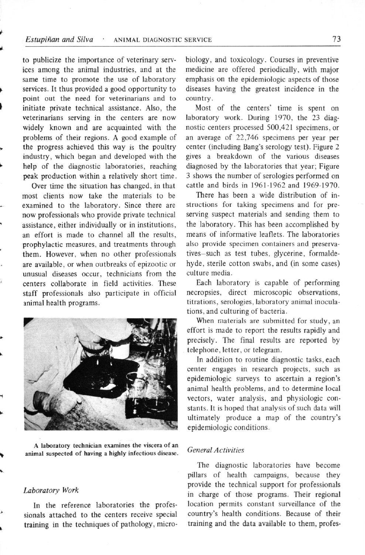# Estupiñan and Silva · ANIMAL DIAGNOSTIC SERVICE 73

to publicize the importance of veterinary services among the animal industries, and at the same time to promote the use of laboratory services. It thus provided a good opportunity to point out the need for veterinarians and to initiate private technical assistance. Also, the veterinarians serving in the centers are now widely known and are acquainted with the problems of their regions. A good example of the progress achieved this way is the poultry industry, which began and developed with the help of the diagnostic laboratories, reaching peak production within a relatively short time.

Over time the situation has changed, in that most clients now take the materials to be examined to the laboratory. Since there are now professionals who provide private technical assistance, either individually or in institutions, an effort is made to channel all the results, prophylactic measures, and treatments through them. However, when no other professionals are available, or when outbreaks of epizootic or unusual diseases occur, technicians from the centers collaborate in field activities. These staff professionals also participate in official animal health programs.



A laboratory technician examines the viscera of an animal suspected of having a highly infectious disease.

# Laboratory Work

In the reference laboratories the professionals attached to the centers receive special training in the techniques of pathology, microbiology, and toxicology. Courses in preventive medicine are offered periodically, with major emphasis on the epidemiologic aspects of those diseases having the greatest incidence in the country.

Most of the centers' time is spent on laboratory work. During 1970, the 23 diagnostic centers processed 500,421 specimens, or an average of 22,746 specimens per year per center (including Bang's serology test). Figure 2 gives a breakdown of the various diseases diagnosed by the laboratories that year; Figure 3 shows the number of serologies performed on cattle and birds in 1961-1962 and 1969-1970.

There has been a wide distribution of instructions for taking specimens and for preserving suspect materials and sending them to the laboratory. This has been accomplished by means of informative leaflets. The laboratories also provide specimen containers and preservatives-such as test tubes, glycerine, formaldehyde, sterile cotton swabs, and (in some cases) culture media.

Each laboratory is capable of performing necropsies, direct microscopic observations, titrations, serologies, laboratory animal inoculations, and culturing of bacteria.

When materials are submitted for study, an effort is made to report the results rapidly and precisely. The final results are reported by telephone, letter, or telegram.

In addition to routine diagnostic tasks, each center engages in research projects, such as epidemiologic surveys to ascertain a region's animal health problems, and to determine local vectors, water analysis, and physiologic constants. It is hoped that analysis of such data will ultimately produce a map of the country's epidemiologic conditions.

# General Activities

The diagnostic laboratories have become pillars of health campaigns, because they provide the technical support for professionals in charge of those programs. Their regional location permits constant surveillance of the country's health conditions. Because of their training and the data available to them, profes-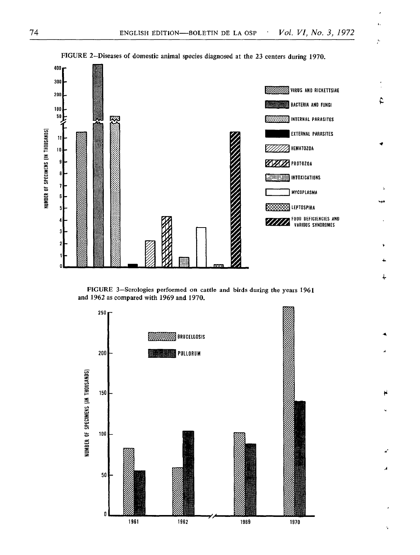L.

ÿ.

i

, 4. A-

÷.

![](_page_5_Figure_1.jpeg)

FIGURE 2-Diseases of domestic animal species diagnosed at the 23 centers during 1970.

FIGURE 3-Serologies performed on cattle and birds during the years 1961 and 1962 as compared with 1969 and 1970.

![](_page_5_Figure_4.jpeg)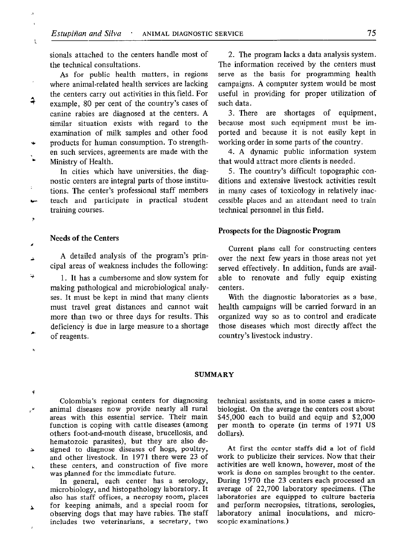sionals attached to the centers handle most of the technical consultations.

As for public health matters, in regions where animal-related health services are lacking the centers carry out activities in this. field. For example, 80 per cent of the country's cases of canine rabies are diagnosed at the centers. A similar situation exists with regard to the examination of milk samples and other food products for human consumption. To strengthen such services, agreements are made with the Ministry of Health.

In cities which have universities, the diagnostic centers are integral parts of those institutions. The center's professional staff members teach and participate in practical student training courses.

Ł

4

## Needs of the Centers

A detailed analysis of the program's principal areas of weakness includes the following:

1. It has a cumbersome and slow system for making pathological and microbiological analyses. It must be kept in mind that many clients must travel great distances and cannot wait more than two or three days for results. This deficiency is due in large measure to a shortage of reagents.

2. The program lacks a data analysis system. The information received by the centers must serve as the basis for programming health campaigns. A computer system would be most useful in providing for proper utilization of such data.

3. There are shortages of equipment, because most such equipment must be imported and because it is not easily kept in working order in some parts of the country.

4. A dynamic public information system that would attract more clients is needed.

5. The country's difficult topographic conditions and extensive livestock activities result in many cases of toxicology in relatively inaccessible places and an attendant need to train technical personnel in this field.

### Prospects for the Diagnostic Program

Current plans call for constructing centers over the next few years in those areas not yet served effectively. In addition, funds are available to renovate and fully equip existing centers.

With the diagnostic laboratories as a base, health campaigns will be carried forward in an organized way so as to control and eradicate those diseases which most directly affect the country's livestock industry.

### SUMMARY

Colombia's regional centers for diagnosing animal diseases now provide nearly all rural areas with this essential service. Their main function is coping with cattle diseases (among others foot-and-mouth disease, brucellosis, and hematozoic parasites), but they are also designed to diagnose diseases of hogs, poultry, Ź, and other livestock. In 1971 there were 23 of these centers, and construction of five more

was planned for the immediate future. In general, each center has a serology, microbiology, and histopathology laboratory. It also has staff offices, a necropsy room, places for keeping animals, and a special room for

 $\mathbf{v}$ observing dogs that may have rabies. The staff includes two veterinarians, a secretary, two technical assistants, and in some cases a microbiologist. On the average the centers cost about \$45,000 each to build and equip and \$2,000 per month to operate (in terms of 1971 US dollars).

At first the center staffs did a lot of field work to publicize their services. Now that their activities are well known, however, most of the work is done on samples brought to the center. During 1970 the 23 centers each processed an average of 22,700 laboratory specimens. (The laboratories are equipped to culture bacteria and perform necropsies, titrations, serologies, laboratory animal inoculations, and microscopic examinations.)